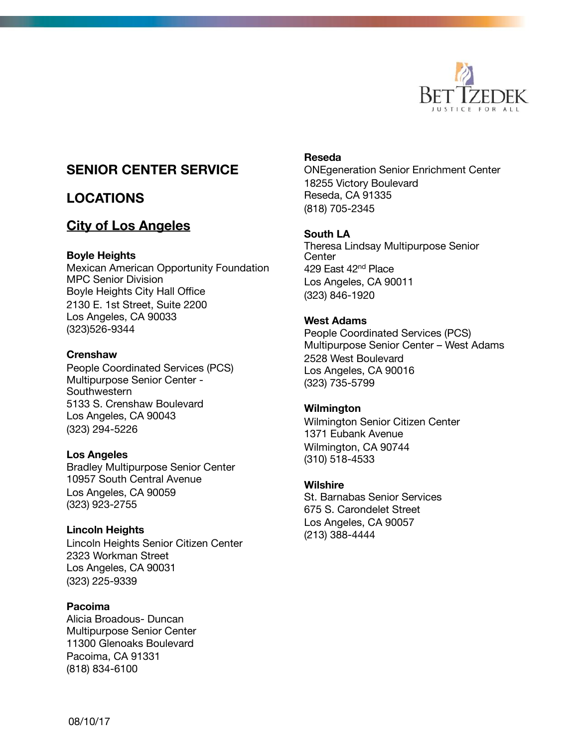

# **SENIOR CENTER SERVICE**

# **LOCATIONS**

# **City of Los Angeles**

### **Boyle Heights**

Mexican American Opportunity Foundation MPC Senior Division Boyle Heights City Hall Office 2130 E. 1st Street, Suite 2200 Los Angeles, CA 90033 (323)526-9344

### **Crenshaw**

People Coordinated Services (PCS) Multipurpose Senior Center - **Southwestern** 5133 S. Crenshaw Boulevard Los Angeles, CA 90043 (323) 294-5226

### **Los Angeles**

Bradley Multipurpose Senior Center 10957 South Central Avenue Los Angeles, CA 90059 (323) 923-2755

### **Lincoln Heights**

Lincoln Heights Senior Citizen Center 2323 Workman Street Los Angeles, CA 90031 (323) 225-9339

### **Pacoima**

Alicia Broadous- Duncan Multipurpose Senior Center 11300 Glenoaks Boulevard Pacoima, CA 91331 (818) 834-6100

### **Reseda**

ONEgeneration Senior Enrichment Center 18255 Victory Boulevard Reseda, CA 91335 (818) 705-2345

### **South LA**

Theresa Lindsay Multipurpose Senior **Center** 429 East 42<sup>nd</sup> Place Los Angeles, CA 90011 (323) 846-1920

### **West Adams**

People Coordinated Services (PCS) Multipurpose Senior Center – West Adams 2528 West Boulevard Los Angeles, CA 90016 (323) 735-5799

### **Wilmington**

Wilmington Senior Citizen Center 1371 Eubank Avenue Wilmington, CA 90744 (310) 518-4533

### **Wilshire**

St. Barnabas Senior Services 675 S. Carondelet Street Los Angeles, CA 90057 (213) 388-4444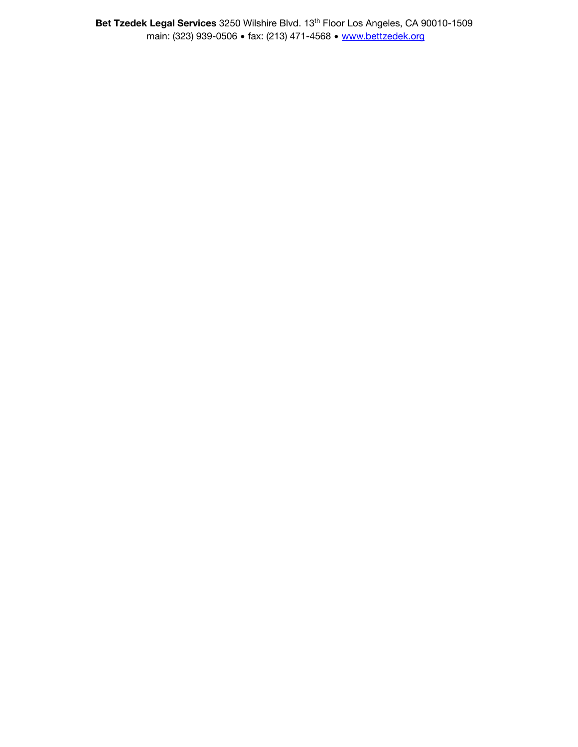**Bet Tzedek Legal Services** 3250 Wilshire Blvd. 13th Floor Los Angeles, CA 90010-1509 main: (323) 939-0506 • fax: (213) 471-4568 • [www.bettzedek.org](http://www.bettzedek.org)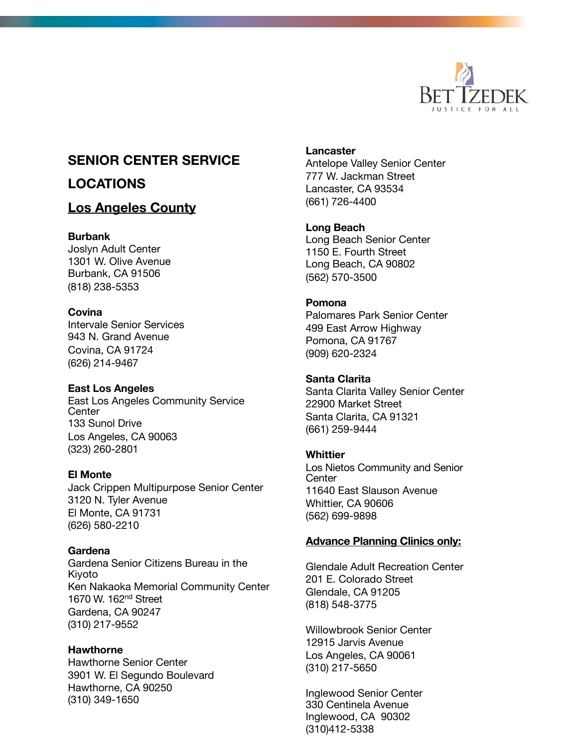

# **SENIOR CENTER SERVICE**

# **LOCATIONS**

## **Los Angeles County**

### **Burbank**

Joslyn Adult Center 1301 W. Olive Avenue Burbank, CA 91506 (818) 238-5353

### **Covina**

Intervale Senior Services 943 N. Grand Avenue Covina, CA 91724 (626) 214-9467

### **East Los Angeles**

East Los Angeles Community Service **Center** 133 Sunol Drive Los Angeles, CA 90063 (323) 260-2801

### **El Monte**

Jack Crippen Multipurpose Senior Center 3120 N. Tyler Avenue El Monte, CA 91731 (626) 580-2210

### **Gardena**

Gardena Senior Citizens Bureau in the Kiyoto Ken Nakaoka Memorial Community Center 1670 W. 162nd Street Gardena, CA 90247 (310) 217-9552

### **Hawthorne**

Hawthorne Senior Center 3901 W. El Segundo Boulevard Hawthorne, CA 90250 (310) 349-1650

**Lancaster**

Antelope Valley Senior Center 777 W. Jackman Street Lancaster, CA 93534 (661) 726-4400

## **Long Beach**

Long Beach Senior Center 1150 E. Fourth Street Long Beach, CA 90802 (562) 570-3500

### **Pomona**

Palomares Park Senior Center 499 East Arrow Highway Pomona, CA 91767 (909) 620-2324

## **Santa Clarita**

Santa Clarita Valley Senior Center 22900 Market Street Santa Clarita, CA 91321 (661) 259-9444

### **Whittier**

Los Nietos Community and Senior **Center** 11640 East Slauson Avenue Whittier, CA 90606 (562) 699-9898

### **Advance Planning Clinics only:**

Glendale Adult Recreation Center 201 E. Colorado Street Glendale, CA 91205 (818) 548-3775

Willowbrook Senior Center 12915 Jarvis Avenue Los Angeles, CA 90061 (310) 217-5650

Inglewood Senior Center 330 Centinela Avenue Inglewood, CA 90302 (310)412-5338